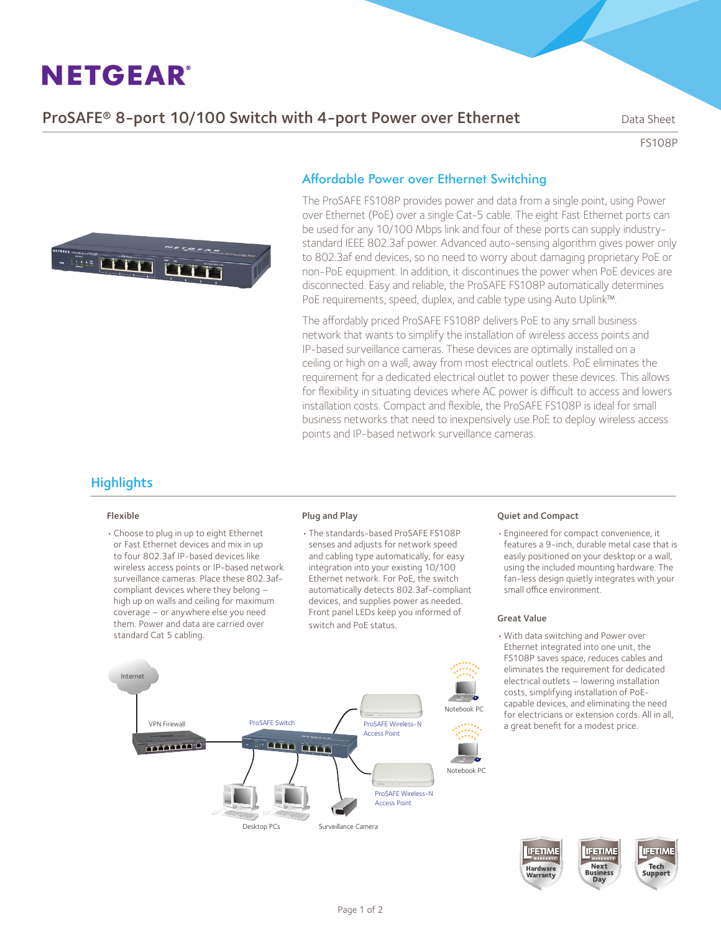**ProSAFE<sup>®</sup> 8-port 10/100 Switch with 4-port Power over Ethernet** Data Sheet

FS108P



### Affordable Power over Ethernet Switching

The ProSAFE FS108P provides power and data from a single point, using Power over Ethernet (PoE) over a single Cat-5 cable. The eight Fast Ethernet ports can be used for any 10/100 Mbps link and four of these ports can supply industrystandard IEEE 802.3af power. Advanced auto-sensing algorithm gives power only to 802.3af end devices, so no need to worry about damaging proprietary PoE or non-PoE equipment. In addition, it discontinues the power when PoE devices are disconnected. Easy and reliable, the ProSAFE FS108P automatically determines PoE requirements, speed, duplex, and cable type using Auto Uplink™.

The affordably priced ProSAFE FS108P delivers PoE to any small business network that wants to simplify the installation of wireless access points and IP-based surveillance cameras. These devices are optimally installed on a ceiling or high on a wall, away from most electrical outlets. PoE eliminates the requirement for a dedicated electrical outlet to power these devices. This allows for flexibility in situating devices where AC power is difficult to access and lowers installation costs. Compact and flexible, the ProSAFE FS108P is ideal for small business networks that need to inexpensively use PoE to deploy wireless access points and IP-based network surveillance cameras.

# **Highlights**

#### Flexible

• Choose to plug in up to eight Ethernet or Fast Ethernet devices and mix in up to four 802.3af IP-based devices like wireless access points or IP-based network surveillance cameras. Place these 802.3afcompliant devices where they belong – high up on walls and ceiling for maximum coverage – or anywhere else you need them. Power and data are carried over standard Cat 5 cabling.

#### Plug and Play

• The standards-based ProSAFE FS108P senses and adjusts for network speed and cabling type automatically, for easy integration into your existing 10/100 Ethernet network. For PoE, the switch automatically detects 802.3af-compliant devices, and supplies power as needed. Front panel LEDs keep you informed of switch and PoE status.

#### Quiet and Compact

• Engineered for compact convenience, it features a 9-inch, durable metal case that is easily positioned on your desktop or a wall, using the included mounting hardware. The fan-less design quietly integrates with your small office environment.

#### Great Value

• With data switching and Power over Ethernet integrated into one unit, the FS108P saves space, reduces cables and eliminates the requirement for dedicated electrical outlets – lowering installation costs, simplifying installation of PoEcapable devices, and eliminating the need for electricians or extension cords. All in all,